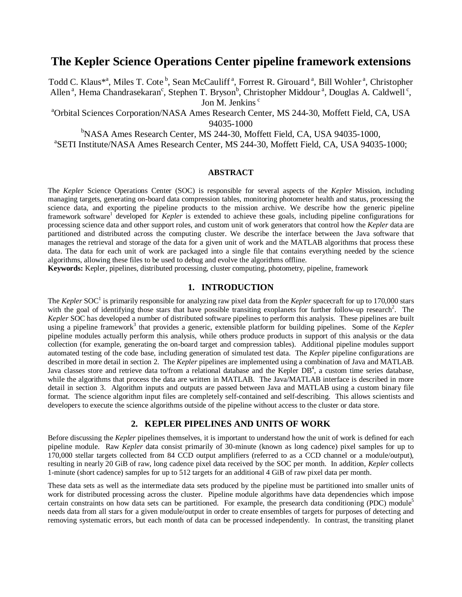# **The Kepler Science Operations Center pipeline framework extensions**

Todd C. Klaus<sup>\*a</sup>, Miles T. Cote<sup>b</sup>, Sean McCauliff<sup>a</sup>, Forrest R. Girouard<sup>a</sup>, Bill Wohler<sup>a</sup>, Christopher Allen<sup>a</sup>, Hema Chandrasekaran<sup>c</sup>, Stephen T. Bryson<sup>b</sup>, Christopher Middour<sup>a</sup>, Douglas A. Caldwell<sup>c</sup>, Jon M. Jenkins<sup>c</sup>

<sup>a</sup>Orbital Sciences Corporation/NASA Ames Research Center, MS 244-30, Moffett Field, CA, USA 94035-1000

b<br>
NASA Ames Research Center, MS 244-30, Moffett Field, CA, USA 94035-1000,

SETI Institute/NASA Ames Research Center, MS 244-30, Moffett Field, CA, USA 94035-1000;

# **ABSTRACT**

The *Kepler* Science Operations Center (SOC) is responsible for several aspects of the *Kepler* Mission, including managing targets, generating on-board data compression tables, monitoring photometer health and status, processing the science data, and exporting the pipeline products to the mission archive. We describe how the generic pipeline framework software<sup>1</sup> developed for *Kepler* is extended to achieve these goals, including pipeline configurations for processing science data and other support roles, and custom unit of work generators that control how the *Kepler* data are partitioned and distributed across the computing cluster. We describe the interface between the Java software that manages the retrieval and storage of the data for a given unit of work and the MATLAB algorithms that process these data. The data for each unit of work are packaged into a single file that contains everything needed by the science algorithms, allowing these files to be used to debug and evolve the algorithms offline.

**Keywords:** Kepler, pipelines, distributed processing, cluster computing, photometry, pipeline, framework

# **1. INTRODUCTION**

The *Kepler* SOC<sup>1</sup> is primarily responsible for analyzing raw pixel data from the *Kepler* spacecraft for up to 170,000 stars with the goal of identifying those stars that have possible transiting exoplanets for further follow-up research<sup>2</sup>. The *Kepler* SOC has developed a number of distributed software pipelines to perform this analysis. These pipelines are built using a pipeline framework<sup>3</sup> that provides a generic, extensible platform for building pipelines. Some of the *Kepler* pipeline modules actually perform this analysis, while others produce products in support of this analysis or the data collection (for example, generating the on-board target and compression tables). Additional pipeline modules support automated testing of the code base, including generation of simulated test data. The *Kepler* pipeline configurations are described in more detail in section 2. The *Kepler* pipelines are implemented using a combination of Java and MATLAB. Java classes store and retrieve data to/from a relational database and the Kepler  $DB<sup>4</sup>$ , a custom time series database, while the algorithms that process the data are written in MATLAB. The Java/MATLAB interface is described in more detail in section 3. Algorithm inputs and outputs are passed between Java and MATLAB using a custom binary file format. The science algorithm input files are completely self-contained and self-describing. This allows scientists and developers to execute the science algorithms outside of the pipeline without access to the cluster or data store.

# **2. KEPLER PIPELINES AND UNITS OF WORK**

Before discussing the *Kepler* pipelines themselves, it is important to understand how the unit of work is defined for each pipeline module. Raw *Kepler* data consist primarily of 30-minute (known as long cadence) pixel samples for up to 170,000 stellar targets collected from 84 CCD output amplifiers (referred to as a CCD channel or a module/output), resulting in nearly 20 GiB of raw, long cadence pixel data received by the SOC per month. In addition, *Kepler* collects 1-minute (short cadence) samples for up to 512 targets for an additional 4 GiB of raw pixel data per month.

These data sets as well as the intermediate data sets produced by the pipeline must be partitioned into smaller units of work for distributed processing across the cluster. Pipeline module algorithms have data dependencies which impose certain constraints on how data sets can be partitioned. For example, the presearch data conditioning (PDC) module<sup>5</sup> needs data from all stars for a given module/output in order to create ensembles of targets for purposes of detecting and removing systematic errors, but each month of data can be processed independently. In contrast, the transiting planet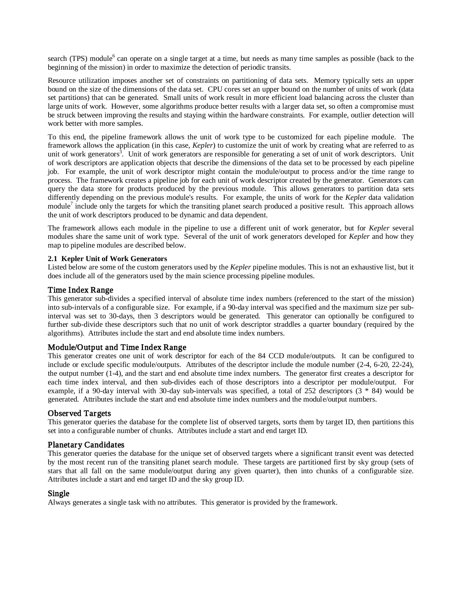search (TPS) module<sup>6</sup> can operate on a single target at a time, but needs as many time samples as possible (back to the beginning of the mission) in order to maximize the detection of periodic transits.

Resource utilization imposes another set of constraints on partitioning of data sets. Memory typically sets an upper bound on the size of the dimensions of the data set. CPU cores set an upper bound on the number of units of work (data set partitions) that can be generated. Small units of work result in more efficient load balancing across the cluster than large units of work. However, some algorithms produce better results with a larger data set, so often a compromise must be struck between improving the results and staying within the hardware constraints. For example, outlier detection will work better with more samples.

To this end, the pipeline framework allows the unit of work type to be customized for each pipeline module. The framework allows the application (in this case, *Kepler*) to customize the unit of work by creating what are referred to as unit of work generators<sup>3</sup>. Unit of work generators are responsible for generating a set of unit of work descriptors. Unit of work descriptors are application objects that describe the dimensions of the data set to be processed by each pipeline job. For example, the unit of work descriptor might contain the module/output to process and/or the time range to process. The framework creates a pipeline job for each unit of work descriptor created by the generator. Generators can query the data store for products produced by the previous module. This allows generators to partition data sets differently depending on the previous module's results. For example, the units of work for the *Kepler* data validation module<sup>7</sup> include only the targets for which the transiting planet search produced a positive result. This approach allows the unit of work descriptors produced to be dynamic and data dependent.

The framework allows each module in the pipeline to use a different unit of work generator, but for *Kepler* several modules share the same unit of work type. Several of the unit of work generators developed for *Kepler* and how they map to pipeline modules are described below.

# **2.1 Kepler Unit of Work Generators**

Listed below are some of the custom generators used by the *Kepler* pipeline modules. This is not an exhaustive list, but it does include all of the generators used by the main science processing pipeline modules.

# Time Index Range

This generator sub-divides a specified interval of absolute time index numbers (referenced to the start of the mission) into sub-intervals of a configurable size. For example, if a 90-day interval was specified and the maximum size per subinterval was set to 30-days, then 3 descriptors would be generated. This generator can optionally be configured to further sub-divide these descriptors such that no unit of work descriptor straddles a quarter boundary (required by the algorithms). Attributes include the start and end absolute time index numbers.

# Module/Output and Time Index Range

This generator creates one unit of work descriptor for each of the 84 CCD module/outputs. It can be configured to include or exclude specific module/outputs. Attributes of the descriptor include the module number (2-4, 6-20, 22-24), the output number (1-4), and the start and end absolute time index numbers. The generator first creates a descriptor for each time index interval, and then sub-divides each of those descriptors into a descriptor per module/output. For example, if a 90-day interval with 30-day sub-intervals was specified, a total of 252 descriptors (3 \* 84) would be generated. Attributes include the start and end absolute time index numbers and the module/output numbers.

# Observed Targets

This generator queries the database for the complete list of observed targets, sorts them by target ID, then partitions this set into a configurable number of chunks. Attributes include a start and end target ID.

# Planetary Candidates

This generator queries the database for the unique set of observed targets where a significant transit event was detected by the most recent run of the transiting planet search module. These targets are partitioned first by sky group (sets of stars that all fall on the same module/output during any given quarter), then into chunks of a configurable size. Attributes include a start and end target ID and the sky group ID.

# Single

Always generates a single task with no attributes. This generator is provided by the framework.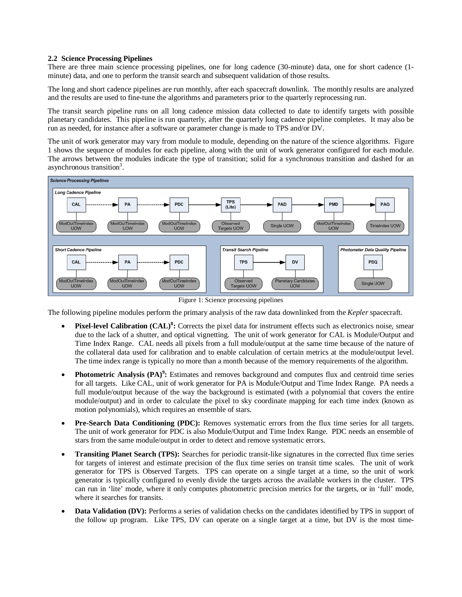# **2.2 Science Processing Pipelines**

There are three main science processing pipelines, one for long cadence (30-minute) data, one for short cadence (1 minute) data, and one to perform the transit search and subsequent validation of those results.

The long and short cadence pipelines are run monthly, after each spacecraft downlink. The monthly results are analyzed and the results are used to fine-tune the algorithms and parameters prior to the quarterly reprocessing run.

The transit search pipeline runs on all long cadence mission data collected to date to identify targets with possible planetary candidates. This pipeline is run quarterly, after the quarterly long cadence pipeline completes. It may also be run as needed, for instance after a software or parameter change is made to TPS and/or DV.

The unit of work generator may vary from module to module, depending on the nature of the science algorithms. Figure 1 shows the sequence of modules for each pipeline, along with the unit of work generator configured for each module. The arrows between the modules indicate the type of transition; solid for a synchronous transition and dashed for an asynchronous transition<sup>3</sup>.



Figure 1: Science processing pipelines

The following pipeline modules perform the primary analysis of the raw data downlinked from the *Kepler* spacecraft.

- **Pixel-level Calibration (CAL)<sup>8</sup> :** Corrects the pixel data for instrument effects such as electronics noise, smear due to the lack of a shutter, and optical vignetting. The unit of work generator for CAL is Module/Output and Time Index Range. CAL needs all pixels from a full module/output at the same time because of the nature of the collateral data used for calibration and to enable calculation of certain metrics at the module/output level. The time index range is typically no more than a month because of the memory requirements of the algorithm.
- **Photometric Analysis (PA)<sup>9</sup> :** Estimates and removes background and computes flux and centroid time series for all targets. Like CAL, unit of work generator for PA is Module/Output and Time Index Range. PA needs a full module/output because of the way the background is estimated (with a polynomial that covers the entire module/output) and in order to calculate the pixel to sky coordinate mapping for each time index (known as motion polynomials), which requires an ensemble of stars.
- **Pre-Search Data Conditioning (PDC):** Removes systematic errors from the flux time series for all targets. The unit of work generator for PDC is also Module/Output and Time Index Range. PDC needs an ensemble of stars from the same module/output in order to detect and remove systematic errors.
- **Transiting Planet Search (TPS):** Searches for periodic transit-like signatures in the corrected flux time series for targets of interest and estimate precision of the flux time series on transit time scales. The unit of work generator for TPS is Observed Targets. TPS can operate on a single target at a time, so the unit of work generator is typically configured to evenly divide the targets across the available workers in the cluster. TPS can run in 'lite' mode, where it only computes photometric precision metrics for the targets, or in 'full' mode, where it searches for transits.
- **Data Validation (DV):** Performs a series of validation checks on the candidates identified by TPS in support of the follow up program. Like TPS, DV can operate on a single target at a time, but DV is the most time-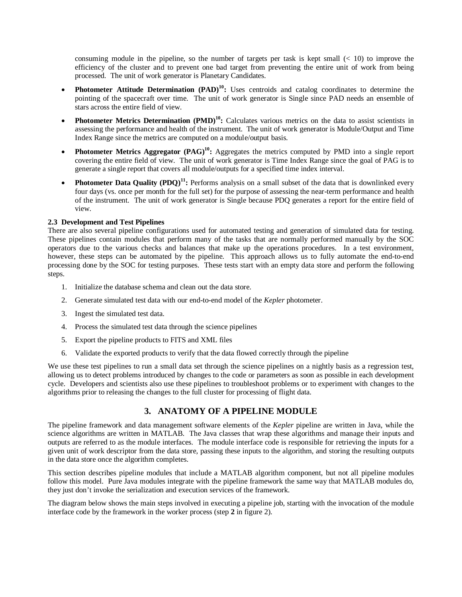consuming module in the pipeline, so the number of targets per task is kept small  $($   $<$  10) to improve the efficiency of the cluster and to prevent one bad target from preventing the entire unit of work from being processed. The unit of work generator is Planetary Candidates.

- **Photometer Attitude Determination (PAD)<sup>10</sup>:** Uses centroids and catalog coordinates to determine the pointing of the spacecraft over time. The unit of work generator is Single since PAD needs an ensemble of stars across the entire field of view.
- **Photometer Metrics Determination (PMD)<sup>10</sup>:** Calculates various metrics on the data to assist scientists in assessing the performance and health of the instrument. The unit of work generator is Module/Output and Time Index Range since the metrics are computed on a module/output basis.
- **Photometer Metrics Aggregator (PAG)<sup>10</sup>:** Aggregates the metrics computed by PMD into a single report covering the entire field of view. The unit of work generator is Time Index Range since the goal of PAG is to generate a single report that covers all module/outputs for a specified time index interval.
- **Photometer Data Quality (PDQ)<sup>11</sup>:** Performs analysis on a small subset of the data that is downlinked every four days (vs. once per month for the full set) for the purpose of assessing the near-term performance and health of the instrument. The unit of work generator is Single because PDQ generates a report for the entire field of view.

# **2.3 Development and Test Pipelines**

There are also several pipeline configurations used for automated testing and generation of simulated data for testing. These pipelines contain modules that perform many of the tasks that are normally performed manually by the SOC operators due to the various checks and balances that make up the operations procedures. In a test environment, however, these steps can be automated by the pipeline. This approach allows us to fully automate the end-to-end processing done by the SOC for testing purposes. These tests start with an empty data store and perform the following steps.

- 1. Initialize the database schema and clean out the data store.
- 2. Generate simulated test data with our end-to-end model of the *Kepler* photometer.
- 3. Ingest the simulated test data.
- 4. Process the simulated test data through the science pipelines
- 5. Export the pipeline products to FITS and XML files
- 6. Validate the exported products to verify that the data flowed correctly through the pipeline

We use these test pipelines to run a small data set through the science pipelines on a nightly basis as a regression test, allowing us to detect problems introduced by changes to the code or parameters as soon as possible in each development cycle. Developers and scientists also use these pipelines to troubleshoot problems or to experiment with changes to the algorithms prior to releasing the changes to the full cluster for processing of flight data.

# **3. ANATOMY OF A PIPELINE MODULE**

The pipeline framework and data management software elements of the *Kepler* pipeline are written in Java, while the science algorithms are written in MATLAB. The Java classes that wrap these algorithms and manage their inputs and outputs are referred to as the module interfaces. The module interface code is responsible for retrieving the inputs for a given unit of work descriptor from the data store, passing these inputs to the algorithm, and storing the resulting outputs in the data store once the algorithm completes.

This section describes pipeline modules that include a MATLAB algorithm component, but not all pipeline modules follow this model. Pure Java modules integrate with the pipeline framework the same way that MATLAB modules do, they just don't invoke the serialization and execution services of the framework.

The diagram below shows the main steps involved in executing a pipeline job, starting with the invocation of the module interface code by the framework in the worker process (step **2** in figure 2).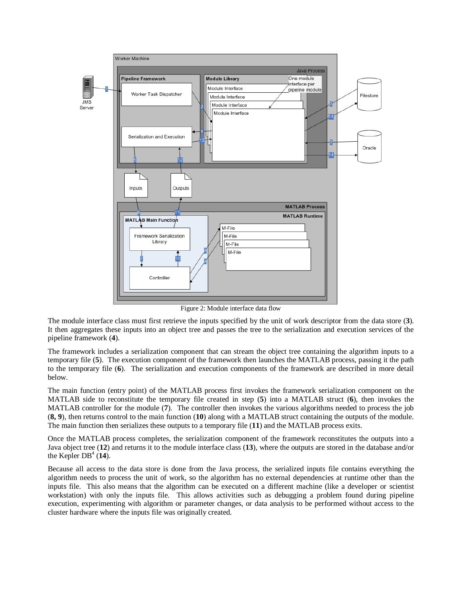

Figure 2: Module interface data flow

The module interface class must first retrieve the inputs specified by the unit of work descriptor from the data store (**3**). It then aggregates these inputs into an object tree and passes the tree to the serialization and execution services of the pipeline framework (**4**).

The framework includes a serialization component that can stream the object tree containing the algorithm inputs to a temporary file (**5**). The execution component of the framework then launches the MATLAB process, passing it the path to the temporary file (**6**). The serialization and execution components of the framework are described in more detail below.

The main function (entry point) of the MATLAB process first invokes the framework serialization component on the MATLAB side to reconstitute the temporary file created in step (**5**) into a MATLAB struct (**6**), then invokes the MATLAB controller for the module (**7**). The controller then invokes the various algorithms needed to process the job (**8, 9**), then returns control to the main function (**10**) along with a MATLAB struct containing the outputs of the module. The main function then serializes these outputs to a temporary file (**11**) and the MATLAB process exits.

Once the MATLAB process completes, the serialization component of the framework reconstitutes the outputs into a Java object tree (**12**) and returns it to the module interface class (**13**), where the outputs are stored in the database and/or the Kepler  $DB^4$  (**14**).

Because all access to the data store is done from the Java process, the serialized inputs file contains everything the algorithm needs to process the unit of work, so the algorithm has no external dependencies at runtime other than the inputs file. This also means that the algorithm can be executed on a different machine (like a developer or scientist workstation) with only the inputs file. This allows activities such as debugging a problem found during pipeline execution, experimenting with algorithm or parameter changes, or data analysis to be performed without access to the cluster hardware where the inputs file was originally created.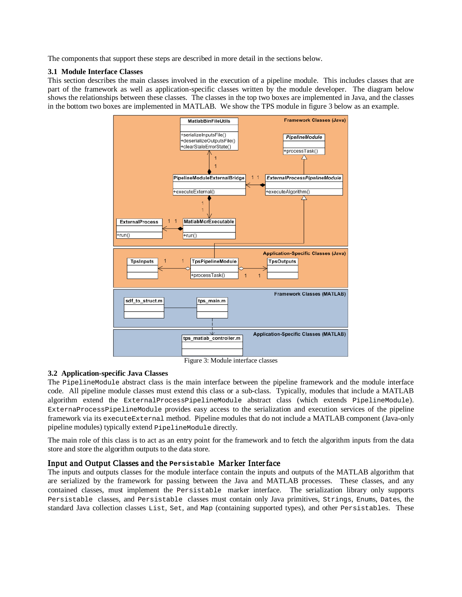The components that support these steps are described in more detail in the sections below.

# **3.1 Module Interface Classes**

This section describes the main classes involved in the execution of a pipeline module. This includes classes that are part of the framework as well as application-specific classes written by the module developer. The diagram below shows the relationships between these classes. The classes in the top two boxes are implemented in Java, and the classes in the bottom two boxes are implemented in MATLAB. We show the TPS module in figure 3 below as an example.



Figure 3: Module interface classes

# **3.2 Application-specific Java Classes**

The PipelineModule abstract class is the main interface between the pipeline framework and the module interface code. All pipeline module classes must extend this class or a sub-class. Typically, modules that include a MATLAB algorithm extend the ExternalProcessPipelineModule abstract class (which extends PipelineModule). ExternaProcessPipelineModule provides easy access to the serialization and execution services of the pipeline framework via its executeExternal method. Pipeline modules that do not include a MATLAB component (Java-only pipeline modules) typically extend PipelineModule directly.

The main role of this class is to act as an entry point for the framework and to fetch the algorithm inputs from the data store and store the algorithm outputs to the data store.

# Input and Output Classes and the **Persistable** Marker Interface

The inputs and outputs classes for the module interface contain the inputs and outputs of the MATLAB algorithm that are serialized by the framework for passing between the Java and MATLAB processes. These classes, and any contained classes, must implement the Persistable marker interface. The serialization library only supports Persistable classes, and Persistable classes must contain only Java primitives, Strings, Enums, Dates, the standard Java collection classes List, Set, and Map (containing supported types), and other Persistables. These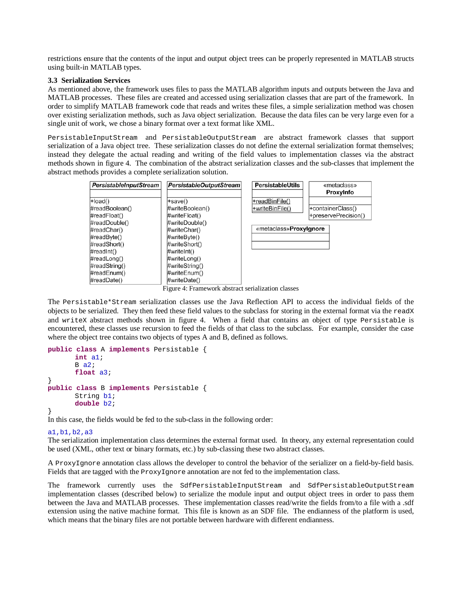restrictions ensure that the contents of the input and output object trees can be properly represented in MATLAB structs using built-in MATLAB types.

### **3.3 Serialization Services**

As mentioned above, the framework uses files to pass the MATLAB algorithm inputs and outputs between the Java and MATLAB processes. These files are created and accessed using serialization classes that are part of the framework. In order to simplify MATLAB framework code that reads and writes these files, a simple serialization method was chosen over existing serialization methods, such as Java object serialization. Because the data files can be very large even for a single unit of work, we chose a binary format over a text format like XML.

PersistableInputStream and PersistableOutputStream are abstract framework classes that support serialization of a Java object tree. These serialization classes do not define the external serialization format themselves; instead they delegate the actual reading and writing of the field values to implementation classes via the abstract methods shown in figure 4. The combination of the abstract serialization classes and the sub-classes that implement the abstract methods provides a complete serialization solution.



Figure 4: Framework abstract serialization classes

The Persistable\*Stream serialization classes use the Java Reflection API to access the individual fields of the objects to be serialized. They then feed these field values to the subclass for storing in the external format via the readX and writeX abstract methods shown in figure 4. When a field that contains an object of type Persistable is encountered, these classes use recursion to feed the fields of that class to the subclass. For example, consider the case where the object tree contains two objects of types A and B, defined as follows.

```
public class A implements Persistable {
      int a1;
      B a2;float a3;
}
public class B implements Persistable {
      String b1;
      double b2;
}
```
In this case, the fields would be fed to the sub-class in the following order:

### a1,b1,b2,a3

The serialization implementation class determines the external format used. In theory, any external representation could be used (XML, other text or binary formats, etc.) by sub-classing these two abstract classes.

A ProxyIgnore annotation class allows the developer to control the behavior of the serializer on a field-by-field basis. Fields that are tagged with the ProxyIgnore annotation are not fed to the implementation class.

The framework currently uses the SdfPersistableInputStream and SdfPersistableOutputStream implementation classes (described below) to serialize the module input and output object trees in order to pass them between the Java and MATLAB processes. These implementation classes read/write the fields from/to a file with a .sdf extension using the native machine format. This file is known as an SDF file. The endianness of the platform is used, which means that the binary files are not portable between hardware with different endianness.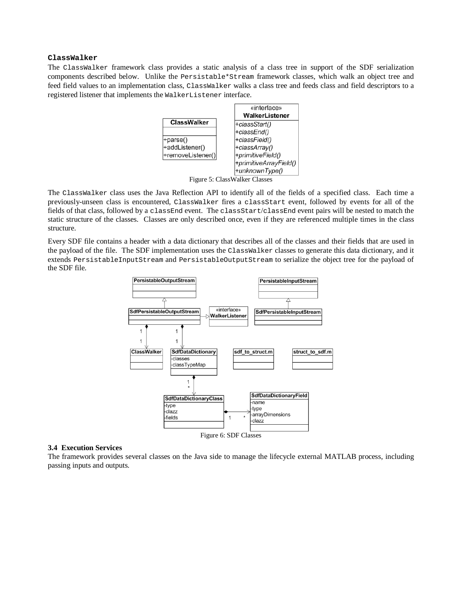# **ClassWalker**

The ClassWalker framework class provides a static analysis of a class tree in support of the SDF serialization components described below. Unlike the Persistable\*Stream framework classes, which walk an object tree and feed field values to an implementation class, ClassWalker walks a class tree and feeds class and field descriptors to a registered listener that implements the WalkerListener interface.



Figure 5: ClassWalker Classes

The ClassWalker class uses the Java Reflection API to identify all of the fields of a specified class. Each time a previously-unseen class is encountered, ClassWalker fires a classStart event, followed by events for all of the fields of that class, followed by a classEnd event. The classStart/classEnd event pairs will be nested to match the static structure of the classes. Classes are only described once, even if they are referenced multiple times in the class structure.

Every SDF file contains a header with a data dictionary that describes all of the classes and their fields that are used in the payload of the file. The SDF implementation uses the ClassWalker classes to generate this data dictionary, and it extends PersistableInputStream and PersistableOutputStream to serialize the object tree for the payload of the SDF file.



#### **3.4 Execution Services**

The framework provides several classes on the Java side to manage the lifecycle external MATLAB process, including passing inputs and outputs.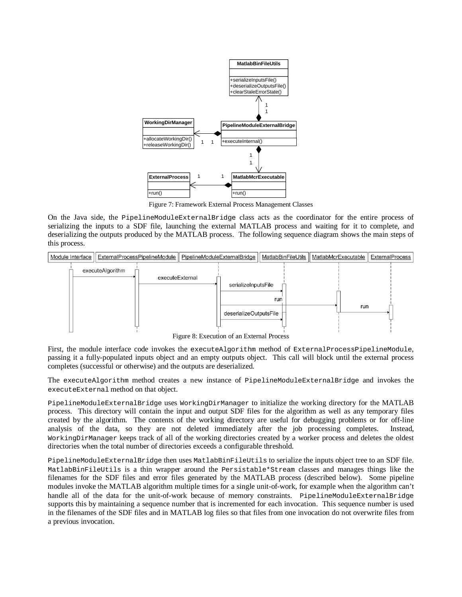

Figure 7: Framework External Process Management Classes

On the Java side, the PipelineModuleExternalBridge class acts as the coordinator for the entire process of serializing the inputs to a SDF file, launching the external MATLAB process and waiting for it to complete, and deserializing the outputs produced by the MATLAB process. The following sequence diagram shows the main steps of this process.



Figure 8: Execution of an External Process

First, the module interface code invokes the executeAlgorithm method of ExternalProcessPipelineModule, passing it a fully-populated inputs object and an empty outputs object. This call will block until the external process completes (successful or otherwise) and the outputs are deserialized.

The executeAlgorithm method creates a new instance of PipelineModuleExternalBridge and invokes the executeExternal method on that object.

PipelineModuleExternalBridge uses WorkingDirManager to initialize the working directory for the MATLAB process. This directory will contain the input and output SDF files for the algorithm as well as any temporary files created by the algorithm. The contents of the working directory are useful for debugging problems or for off-line analysis of the data, so they are not deleted immediately after the job processing completes. Instead, WorkingDirManager keeps track of all of the working directories created by a worker process and deletes the oldest directories when the total number of directories exceeds a configurable threshold.

PipelineModuleExternalBridge then uses MatlabBinFileUtils to serialize the inputs object tree to an SDF file. MatlabBinFileUtils is a thin wrapper around the Persistable\*Stream classes and manages things like the filenames for the SDF files and error files generated by the MATLAB process (described below). Some pipeline modules invoke the MATLAB algorithm multiple times for a single unit-of-work, for example when the algorithm can't handle all of the data for the unit-of-work because of memory constraints. PipelineModuleExternalBridge supports this by maintaining a sequence number that is incremented for each invocation. This sequence number is used in the filenames of the SDF files and in MATLAB log files so that files from one invocation do not overwrite files from a previous invocation.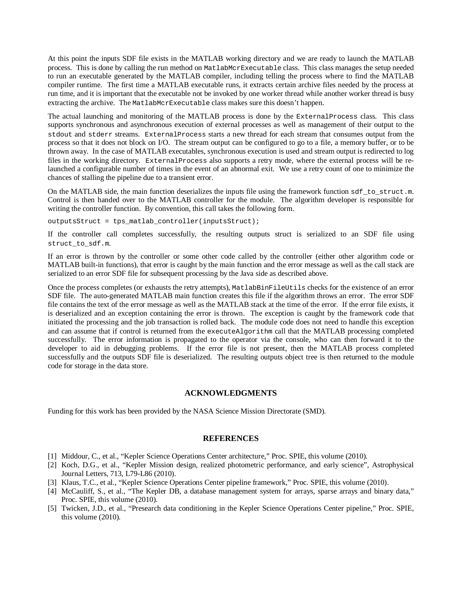At this point the inputs SDF file exists in the MATLAB working directory and we are ready to launch the MATLAB process. This is done by calling the run method on MatlabMcrExecutable class. This class manages the setup needed to run an executable generated by the MATLAB compiler, including telling the process where to find the MATLAB compiler runtime. The first time a MATLAB executable runs, it extracts certain archive files needed by the process at run time, and it is important that the executable not be invoked by one worker thread while another worker thread is busy extracting the archive. The MatlabMcrExecutable class makes sure this doesn't happen.

The actual launching and monitoring of the MATLAB process is done by the ExternalProcess class. This class supports synchronous and asynchronous execution of external processes as well as management of their output to the stdout and stderr streams. ExternalProcess starts a new thread for each stream that consumes output from the process so that it does not block on I/O. The stream output can be configured to go to a file, a memory buffer, or to be thrown away. In the case of MATLAB executables, synchronous execution is used and stream output is redirected to log files in the working directory. ExternalProcess also supports a retry mode, where the external process will be relaunched a configurable number of times in the event of an abnormal exit. We use a retry count of one to minimize the chances of stalling the pipeline due to a transient error.

On the MATLAB side, the main function deserializes the inputs file using the framework function sdf\_to\_struct.m. Control is then handed over to the MATLAB controller for the module. The algorithm developer is responsible for writing the controller function. By convention, this call takes the following form.

 $outputsStruct = tps_{mathcal{D}}<sub>control</sub> = (inputsStruct);$ 

If the controller call completes successfully, the resulting outputs struct is serialized to an SDF file using struct\_to\_sdf.m.

If an error is thrown by the controller or some other code called by the controller (either other algorithm code or MATLAB built-in functions), that error is caught by the main function and the error message as well as the call stack are serialized to an error SDF file for subsequent processing by the Java side as described above.

Once the process completes (or exhausts the retry attempts), MatlabBinFileUtils checks for the existence of an error SDF file. The auto-generated MATLAB main function creates this file if the algorithm throws an error. The error SDF file contains the text of the error message as well as the MATLAB stack at the time of the error. If the error file exists, it is deserialized and an exception containing the error is thrown. The exception is caught by the framework code that initiated the processing and the job transaction is rolled back. The module code does not need to handle this exception and can assume that if control is returned from the executeAlgorithm call that the MATLAB processing completed successfully. The error information is propagated to the operator via the console, who can then forward it to the developer to aid in debugging problems. If the error file is not present, then the MATLAB process completed successfully and the outputs SDF file is deserialized. The resulting outputs object tree is then returned to the module code for storage in the data store.

#### **ACKNOWLEDGMENTS**

Funding for this work has been provided by the NASA Science Mission Directorate (SMD).

#### **REFERENCES**

- [1] Middour, C., et al., "Kepler Science Operations Center architecture," Proc. SPIE, this volume (2010).
- [2] Koch, D.G., et al., "Kepler Mission design, realized photometric performance, and early science", Astrophysical Journal Letters, 713, L79-L86 (2010).
- [3] Klaus, T.C., et al., "Kepler Science Operations Center pipeline framework," Proc. SPIE, this volume (2010).
- [4] McCauliff, S., et al., "The Kepler DB, a database management system for arrays, sparse arrays and binary data," Proc. SPIE, this volume (2010).
- [5] Twicken, J.D., et al., "Presearch data conditioning in the Kepler Science Operations Center pipeline," Proc. SPIE, this volume (2010).